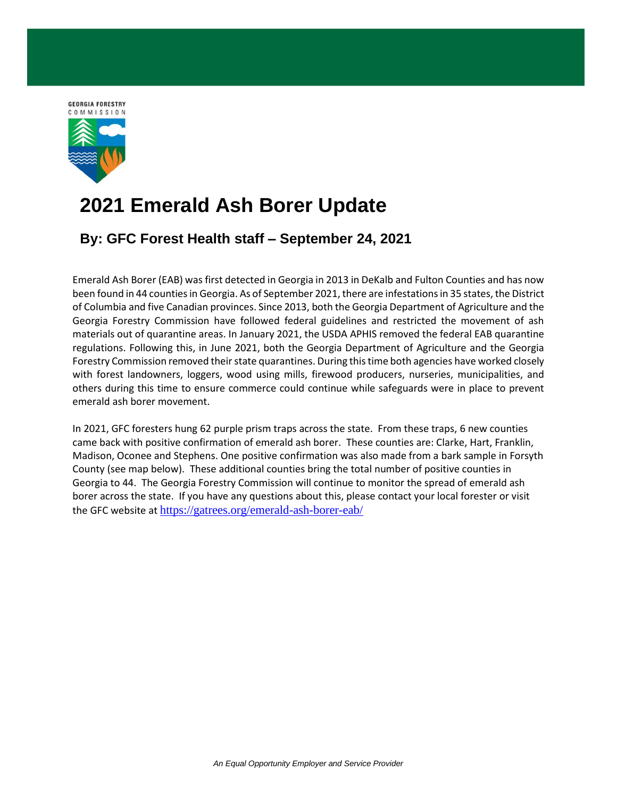

## **2021 Emerald Ash Borer Update**

## **By: GFC Forest Health staff – September 24, 2021**

Emerald Ash Borer (EAB) was first detected in Georgia in 2013 in DeKalb and Fulton Counties and has now been found in 44 counties in Georgia. As of September 2021, there are infestations in 35 states, the District of Columbia and five Canadian provinces. Since 2013, both the Georgia Department of Agriculture and the Georgia Forestry Commission have followed federal guidelines and restricted the movement of ash materials out of quarantine areas. In January 2021, the USDA APHIS removed the federal EAB quarantine regulations. Following this, in June 2021, both the Georgia Department of Agriculture and the Georgia Forestry Commission removed their state quarantines. During this time both agencies have worked closely with forest landowners, loggers, wood using mills, firewood producers, nurseries, municipalities, and others during this time to ensure commerce could continue while safeguards were in place to prevent emerald ash borer movement.

In 2021, GFC foresters hung 62 purple prism traps across the state. From these traps, 6 new counties came back with positive confirmation of emerald ash borer. These counties are: Clarke, Hart, Franklin, Madison, Oconee and Stephens. One positive confirmation was also made from a bark sample in Forsyth County (see map below). These additional counties bring the total number of positive counties in Georgia to 44. The Georgia Forestry Commission will continue to monitor the spread of emerald ash borer across the state. If you have any questions about this, please contact your local forester or visit the GFC website at <https://gatrees.org/emerald-ash-borer-eab/>